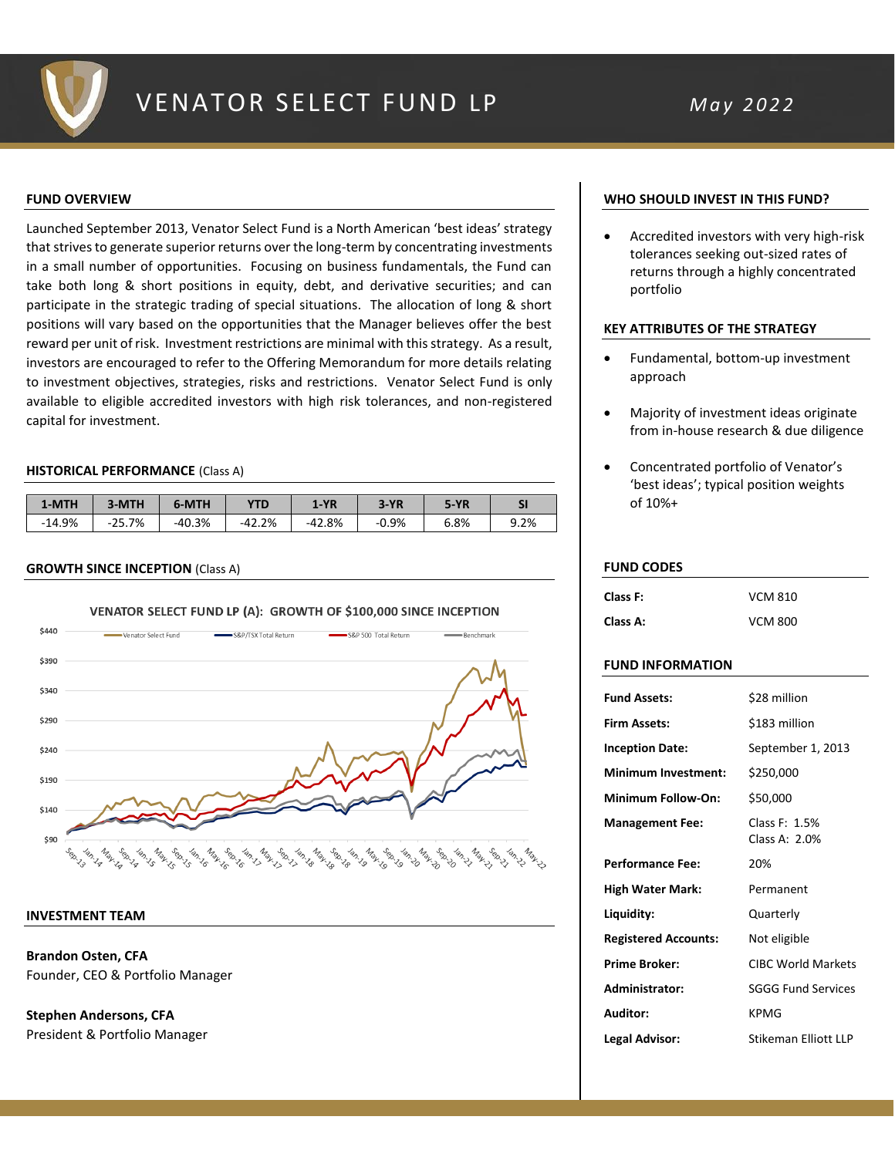

# **FUND OVERVIEW**

Launched September 2013, Venator Select Fund is a North American 'best ideas' strategy that strives to generate superior returns over the long-term by concentrating investments in a small number of opportunities. Focusing on business fundamentals, the Fund can take both long & short positions in equity, debt, and derivative securities; and can participate in the strategic trading of special situations. The allocation of long & short positions will vary based on the opportunities that the Manager believes offer the best reward per unit of risk. Investment restrictions are minimal with this strategy. As a result, investors are encouraged to refer to the Offering Memorandum for more details relating to investment objectives, strategies, risks and restrictions. Venator Select Fund is only available to eligible accredited investors with high risk tolerances, and non-registered capital for investment.

#### **HISTORICAL PERFORMANCE** (Class A)

| 1-MTH    | 3-MTH  | 6-MTH    |          | 1-YR     | 3-YR    | $5-YR$ |      |
|----------|--------|----------|----------|----------|---------|--------|------|
| $-14.9%$ | -25.7% | $-40.3%$ | $-42.2%$ | $-42.8%$ | $-0.9%$ | 6.8%   | 9.2% |

### **GROWTH SINCE INCEPTION** (Class A)



# VENATOR SELECT FUND LP (A): GROWTH OF \$100,000 SINCE INCEPTION

### **INVESTMENT TEAM**

**Brandon Osten, CFA** Founder, CEO & Portfolio Manager

**Stephen Andersons, CFA** President & Portfolio Manager

#### **WHO SHOULD INVEST IN THIS FUND?**

• Accredited investors with very high-risk tolerances seeking out-sized rates of returns through a highly concentrated portfolio

# **KEY ATTRIBUTES OF THE STRATEGY**

- Fundamental, bottom-up investment approach
- Majority of investment ideas originate from in-house research & due diligence
- Concentrated portfolio of Venator's 'best ideas'; typical position weights of 10%+

|  | <b>FUND CODES</b> |
|--|-------------------|
|  |                   |

| Class F: | <b>VCM 810</b> |
|----------|----------------|
| Class A: | <b>VCM 800</b> |

#### **FUND INFORMATION**

| <b>Fund Assets:</b>         | \$28 million                   |
|-----------------------------|--------------------------------|
| <b>Firm Assets:</b>         | \$183 million                  |
| <b>Inception Date:</b>      | September 1, 2013              |
| <b>Minimum Investment:</b>  | \$250,000                      |
| Minimum Follow-On:          | \$50,000                       |
| <b>Management Fee:</b>      | Class F: 1.5%<br>Class A: 2.0% |
| <b>Performance Fee:</b>     | 20%                            |
| <b>High Water Mark:</b>     | Permanent                      |
| Liquidity:                  | Quarterly                      |
| <b>Registered Accounts:</b> | Not eligible                   |
| <b>Prime Broker:</b>        | <b>CIBC World Markets</b>      |
| Administrator:              | <b>SGGG Fund Services</b>      |
| Auditor:                    | <b>KPMG</b>                    |
| Legal Advisor:              | Stikeman Elliott LLP           |